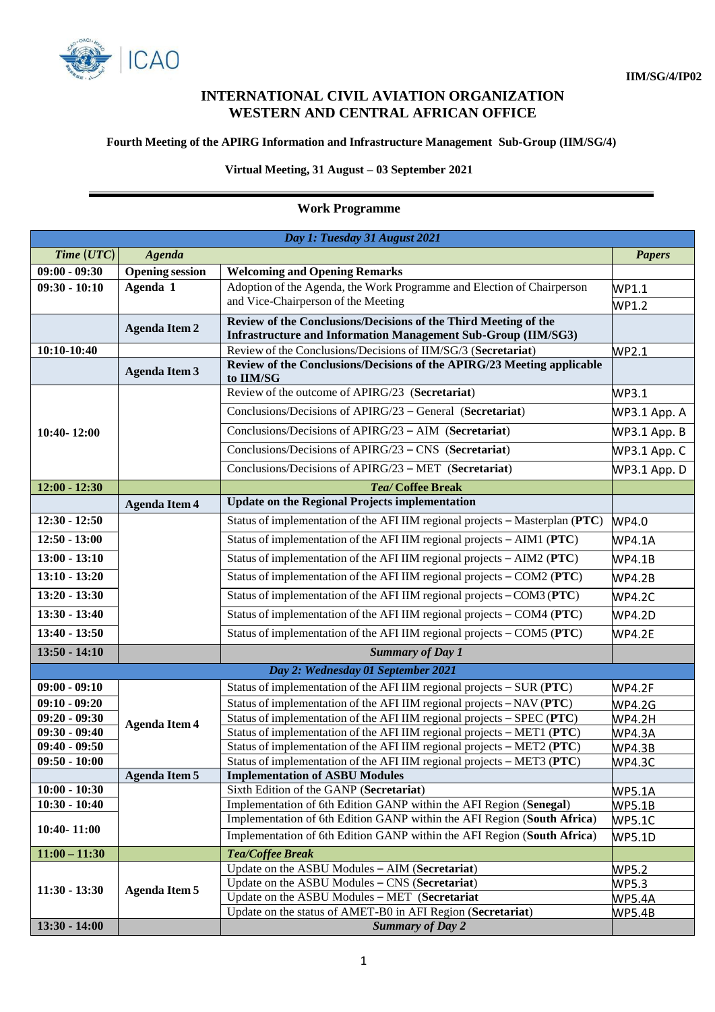

## **INTERNATIONAL CIVIL AVIATION ORGANIZATION WESTERN AND CENTRAL AFRICAN OFFICE**

## **Fourth Meeting of the APIRG Information and Infrastructure Management Sub-Group (IIM/SG/4)**

## **Virtual Meeting, 31 August – 03 September 2021**

## **Work Programme**

| Day 1: Tuesday 31 August 2021      |                        |                                                                                                                                         |                                |  |  |
|------------------------------------|------------------------|-----------------------------------------------------------------------------------------------------------------------------------------|--------------------------------|--|--|
| Time (UTC)                         | <b>Agenda</b>          |                                                                                                                                         | <b>Papers</b>                  |  |  |
| $09:00 - 09:30$                    | <b>Opening</b> session | <b>Welcoming and Opening Remarks</b>                                                                                                    |                                |  |  |
| $09:30 - 10:10$                    | Agenda 1               | Adoption of the Agenda, the Work Programme and Election of Chairperson                                                                  | WP1.1                          |  |  |
|                                    |                        | and Vice-Chairperson of the Meeting                                                                                                     | WP1.2                          |  |  |
|                                    | <b>Agenda Item 2</b>   | Review of the Conclusions/Decisions of the Third Meeting of the<br><b>Infrastructure and Information Management Sub-Group (IIM/SG3)</b> |                                |  |  |
| 10:10-10:40                        |                        | Review of the Conclusions/Decisions of IIM/SG/3 (Secretariat)                                                                           | WP2.1                          |  |  |
|                                    | <b>Agenda Item 3</b>   | Review of the Conclusions/Decisions of the APIRG/23 Meeting applicable<br>to IIM/SG                                                     |                                |  |  |
| 10:40-12:00                        |                        | Review of the outcome of APIRG/23 (Secretariat)                                                                                         | WP3.1                          |  |  |
|                                    |                        | Conclusions/Decisions of APIRG/23 – General (Secretariat)                                                                               | WP3.1 App. A                   |  |  |
|                                    |                        | Conclusions/Decisions of APIRG/23 - AIM (Secretariat)                                                                                   | WP3.1 App. B                   |  |  |
|                                    |                        | Conclusions/Decisions of APIRG/23 - CNS (Secretariat)                                                                                   | WP3.1 App. C                   |  |  |
|                                    |                        | Conclusions/Decisions of APIRG/23 – MET (Secretariat)                                                                                   | WP3.1 App. D                   |  |  |
| $12:00 - 12:30$                    |                        | Tea/ Coffee Break                                                                                                                       |                                |  |  |
|                                    | <b>Agenda Item 4</b>   | <b>Update on the Regional Projects implementation</b>                                                                                   |                                |  |  |
| $12:30 - 12:50$                    |                        | Status of implementation of the AFI IIM regional projects - Masterplan (PTC)                                                            | WP4.0                          |  |  |
| $12:50 - 13:00$                    |                        | Status of implementation of the AFI IIM regional projects - AIM1 (PTC)                                                                  | <b>WP4.1A</b>                  |  |  |
| $13:00 - 13:10$                    |                        | Status of implementation of the AFI IIM regional projects - AIM2 (PTC)                                                                  | <b>WP4.1B</b>                  |  |  |
| $13:10 - 13:20$                    |                        | Status of implementation of the AFI IIM regional projects - COM2 (PTC)                                                                  | <b>WP4.2B</b>                  |  |  |
| $13:20 - 13:30$                    |                        | Status of implementation of the AFI IIM regional projects $-COM3 (PTC)$                                                                 | <b>WP4.2C</b>                  |  |  |
| $13:30 - 13:40$                    |                        | Status of implementation of the AFI IIM regional projects - COM4 (PTC)                                                                  | <b>WP4.2D</b>                  |  |  |
| $13:40 - 13:50$                    |                        | Status of implementation of the AFI IIM regional projects - COM5 (PTC)                                                                  | <b>WP4.2E</b>                  |  |  |
| $13:50 - 14:10$                    |                        | <b>Summary of Day 1</b>                                                                                                                 |                                |  |  |
| Day 2: Wednesday 01 September 2021 |                        |                                                                                                                                         |                                |  |  |
| $09:00 - 09:10$                    |                        | Status of implementation of the AFI IIM regional projects - SUR (PTC)                                                                   | <b>WP4.2F</b>                  |  |  |
| $09:10 - 09:20$                    |                        | Status of implementation of the AFI IIM regional projects - NAV (PTC)                                                                   | <b>WP4.2G</b>                  |  |  |
| $09:20 - 09:30$                    | <b>Agenda Item 4</b>   | Status of implementation of the AFI IIM regional projects - SPEC (PTC)                                                                  | WP4.2H                         |  |  |
| $09:30 - 09:40$                    |                        | Status of implementation of the AFI IIM regional projects - MET1 (PTC)                                                                  | <b>WP4.3A</b>                  |  |  |
| $09:40 - 09:50$                    |                        | Status of implementation of the AFI IIM regional projects - MET2 (PTC)                                                                  | <b>WP4.3B</b>                  |  |  |
| $09:50 - 10:00$                    |                        | Status of implementation of the AFI IIM regional projects $-$ MET3 (PTC)                                                                | <b>WP4.3C</b>                  |  |  |
| $10:00 - 10:30$                    | <b>Agenda Item 5</b>   | <b>Implementation of ASBU Modules</b><br>Sixth Edition of the GANP (Secretariat)                                                        |                                |  |  |
| $10:30 - 10:40$                    |                        | Implementation of 6th Edition GANP within the AFI Region (Senegal)                                                                      | <b>WP5.1A</b>                  |  |  |
|                                    |                        | Implementation of 6th Edition GANP within the AFI Region (South Africa)                                                                 | <b>WP5.1B</b><br><b>WP5.1C</b> |  |  |
| 10:40-11:00                        |                        | Implementation of 6th Edition GANP within the AFI Region (South Africa)                                                                 | <b>WP5.1D</b>                  |  |  |
| $11:00 - 11:30$                    |                        | <b>Tea/Coffee Break</b>                                                                                                                 |                                |  |  |
| $11:30 - 13:30$                    | <b>Agenda Item 5</b>   | Update on the ASBU Modules - AIM (Secretariat)                                                                                          | <b>WP5.2</b>                   |  |  |
|                                    |                        | Update on the ASBU Modules - CNS (Secretariat)                                                                                          | WP5.3                          |  |  |
|                                    |                        | Update on the ASBU Modules - MET (Secretariat                                                                                           | <b>WP5.4A</b>                  |  |  |
|                                    |                        | Update on the status of AMET-B0 in AFI Region (Secretariat)                                                                             | <b>WP5.4B</b>                  |  |  |
| $13:30 - 14:00$                    |                        | <b>Summary of Day 2</b>                                                                                                                 |                                |  |  |